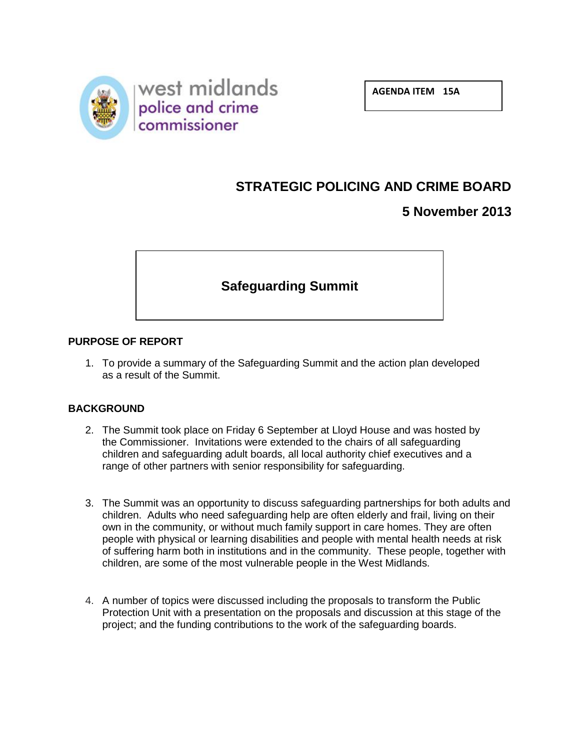

**AGENDA ITEM 15A**

# **STRATEGIC POLICING AND CRIME BOARD**

# **5 November 2013**

# **Safeguarding Summit**

#### **PURPOSE OF REPORT**

1. To provide a summary of the Safeguarding Summit and the action plan developed as a result of the Summit.

#### **BACKGROUND**

- 2. The Summit took place on Friday 6 September at Lloyd House and was hosted by the Commissioner. Invitations were extended to the chairs of all safeguarding children and safeguarding adult boards, all local authority chief executives and a range of other partners with senior responsibility for safeguarding.
- 3. The Summit was an opportunity to discuss safeguarding partnerships for both adults and children. Adults who need safeguarding help are often elderly and frail, living on their own in the community, or without much family support in care homes. They are often people with physical or learning disabilities and people with mental health needs at risk of suffering harm both in institutions and in the community. These people, together with children, are some of the most vulnerable people in the West Midlands.
- 4. A number of topics were discussed including the proposals to transform the Public Protection Unit with a presentation on the proposals and discussion at this stage of the project; and the funding contributions to the work of the safeguarding boards.